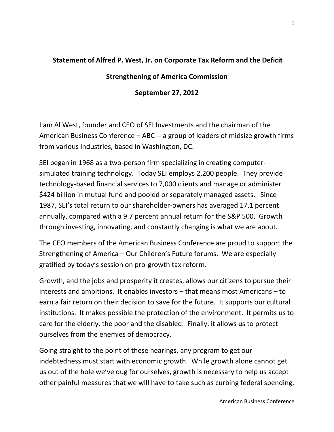## **Statement of Alfred P. West, Jr. on Corporate Tax Reform and the Deficit**

## **Strengthening of America Commission**

## **September 27, 2012**

I am Al West, founder and CEO of SEI Investments and the chairman of the American Business Conference – ABC -- a group of leaders of midsize growth firms from various industries, based in Washington, DC.

SEI began in 1968 as a two-person firm specializing in creating computersimulated training technology. Today SEI employs 2,200 people. They provide technology-based financial services to 7,000 clients and manage or administer \$424 billion in mutual fund and pooled or separately managed assets. Since 1987, SEI's total return to our shareholder-owners has averaged 17.1 percent annually, compared with a 9.7 percent annual return for the S&P 500. Growth through investing, innovating, and constantly changing is what we are about.

The CEO members of the American Business Conference are proud to support the Strengthening of America – Our Children's Future forums. We are especially gratified by today's session on pro-growth tax reform.

Growth, and the jobs and prosperity it creates, allows our citizens to pursue their interests and ambitions. It enables investors – that means most Americans – to earn a fair return on their decision to save for the future. It supports our cultural institutions. It makes possible the protection of the environment. It permits us to care for the elderly, the poor and the disabled. Finally, it allows us to protect ourselves from the enemies of democracy.

Going straight to the point of these hearings, any program to get our indebtedness must start with economic growth. While growth alone cannot get us out of the hole we've dug for ourselves, growth is necessary to help us accept other painful measures that we will have to take such as curbing federal spending,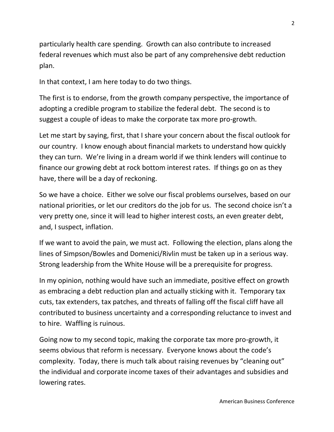particularly health care spending. Growth can also contribute to increased federal revenues which must also be part of any comprehensive debt reduction plan.

In that context, I am here today to do two things.

The first is to endorse, from the growth company perspective, the importance of adopting a credible program to stabilize the federal debt. The second is to suggest a couple of ideas to make the corporate tax more pro-growth.

Let me start by saying, first, that I share your concern about the fiscal outlook for our country. I know enough about financial markets to understand how quickly they can turn. We're living in a dream world if we think lenders will continue to finance our growing debt at rock bottom interest rates. If things go on as they have, there will be a day of reckoning.

So we have a choice. Either we solve our fiscal problems ourselves, based on our national priorities, or let our creditors do the job for us. The second choice isn't a very pretty one, since it will lead to higher interest costs, an even greater debt, and, I suspect, inflation.

If we want to avoid the pain, we must act. Following the election, plans along the lines of Simpson/Bowles and Domenici/Rivlin must be taken up in a serious way. Strong leadership from the White House will be a prerequisite for progress.

In my opinion, nothing would have such an immediate, positive effect on growth as embracing a debt reduction plan and actually sticking with it. Temporary tax cuts, tax extenders, tax patches, and threats of falling off the fiscal cliff have all contributed to business uncertainty and a corresponding reluctance to invest and to hire. Waffling is ruinous.

Going now to my second topic, making the corporate tax more pro-growth, it seems obvious that reform is necessary. Everyone knows about the code's complexity. Today, there is much talk about raising revenues by "cleaning out" the individual and corporate income taxes of their advantages and subsidies and lowering rates.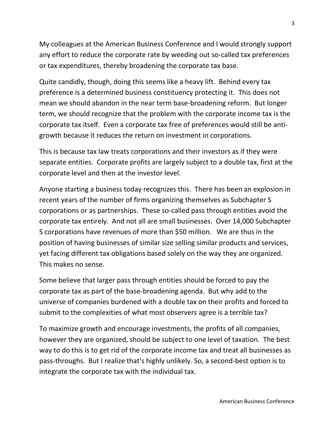My colleagues at the American Business Conference and I would strongly support any effort to reduce the corporate rate by weeding out so-called tax preferences or tax expenditures, thereby broadening the corporate tax base.

Quite candidly, though, doing this seems like a heavy lift. Behind every tax preference is a determined business constituency protecting it. This does not mean we should abandon in the near term base-broadening reform. But longer term, we should recognize that the problem with the corporate income tax is the corporate tax itself. Even a corporate tax free of preferences would still be antigrowth because it reduces the return on investment in corporations.

This is because tax law treats corporations and their investors as if they were separate entities. Corporate profits are largely subject to a double tax, first at the corporate level and then at the investor level.

Anyone starting a business today recognizes this. There has been an explosion in recent years of the number of firms organizing themselves as Subchapter S corporations or as partnerships. These so-called pass through entities avoid the corporate tax entirely. And not all are small businesses. Over 14,000 Subchapter S corporations have revenues of more than \$50 million. We are thus in the position of having businesses of similar size selling similar products and services, yet facing different tax obligations based solely on the way they are organized. This makes no sense.

Some believe that larger pass through entities should be forced to pay the corporate tax as part of the base-broadening agenda. But why add to the universe of companies burdened with a double tax on their profits and forced to submit to the complexities of what most observers agree is a terrible tax?

To maximize growth and encourage investments, the profits of all companies, however they are organized, should be subject to one level of taxation. The best way to do this is to get rid of the corporate income tax and treat all businesses as pass-throughs. But I realize that's highly unlikely. So, a second-best option is to integrate the corporate tax with the individual tax.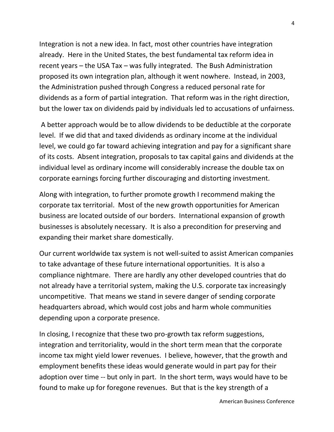Integration is not a new idea. In fact, most other countries have integration already. Here in the United States, the best fundamental tax reform idea in recent years – the USA Tax – was fully integrated. The Bush Administration proposed its own integration plan, although it went nowhere. Instead, in 2003, the Administration pushed through Congress a reduced personal rate for dividends as a form of partial integration. That reform was in the right direction, but the lower tax on dividends paid by individuals led to accusations of unfairness.

A better approach would be to allow dividends to be deductible at the corporate level. If we did that and taxed dividends as ordinary income at the individual level, we could go far toward achieving integration and pay for a significant share of its costs. Absent integration, proposals to tax capital gains and dividends at the individual level as ordinary income will considerably increase the double tax on corporate earnings forcing further discouraging and distorting investment.

Along with integration, to further promote growth I recommend making the corporate tax territorial. Most of the new growth opportunities for American business are located outside of our borders. International expansion of growth businesses is absolutely necessary. It is also a precondition for preserving and expanding their market share domestically.

Our current worldwide tax system is not well-suited to assist American companies to take advantage of these future international opportunities. It is also a compliance nightmare. There are hardly any other developed countries that do not already have a territorial system, making the U.S. corporate tax increasingly uncompetitive. That means we stand in severe danger of sending corporate headquarters abroad, which would cost jobs and harm whole communities depending upon a corporate presence.

In closing, I recognize that these two pro-growth tax reform suggestions, integration and territoriality, would in the short term mean that the corporate income tax might yield lower revenues. I believe, however, that the growth and employment benefits these ideas would generate would in part pay for their adoption over time -- but only in part. In the short term, ways would have to be found to make up for foregone revenues. But that is the key strength of a